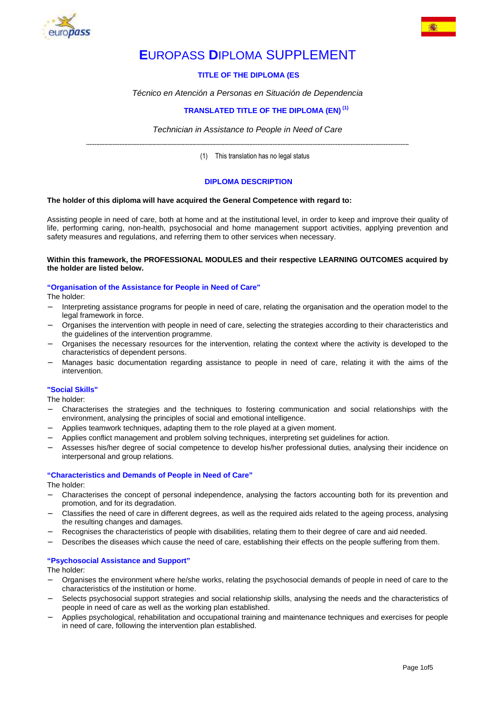



# **EUROPASS DIPLOMA SUPPLEMENT**

# **TITLE OF THE DIPLOMA (ES**

Técnico en Atención a Personas en Situación de Dependencia

# **TRANSLATED TITLE OF THE DIPLOMA (EN) (1)**

Technician in Assistance to People in Need of Care **--------------------------------------------------------------------------------------------------------------------------------------------------------------------------------------------------** 

(1) This translation has no legal status

# **DIPLOMA DESCRIPTION**

## **The holder of this diploma will have acquired the General Competence with regard to:**

Assisting people in need of care, both at home and at the institutional level, in order to keep and improve their quality of life, performing caring, non-health, psychosocial and home management support activities, applying prevention and safety measures and regulations, and referring them to other services when necessary.

## **Within this framework, the PROFESSIONAL MODULES and their respective LEARNING OUTCOMES acquired by the holder are listed below.**

#### **"Organisation of the Assistance for People in Need of Care"**

The holder:

- − Interpreting assistance programs for people in need of care, relating the organisation and the operation model to the legal framework in force.
- − Organises the intervention with people in need of care, selecting the strategies according to their characteristics and the guidelines of the intervention programme.
- − Organises the necessary resources for the intervention, relating the context where the activity is developed to the characteristics of dependent persons.
- Manages basic documentation regarding assistance to people in need of care, relating it with the aims of the intervention.

## **"Social Skills"**

The holder:

- − Characterises the strategies and the techniques to fostering communication and social relationships with the environment, analysing the principles of social and emotional intelligence.
- Applies teamwork techniques, adapting them to the role played at a given moment.
- − Applies conflict management and problem solving techniques, interpreting set guidelines for action.
- − Assesses his/her degree of social competence to develop his/her professional duties, analysing their incidence on interpersonal and group relations.

## **"Characteristics and Demands of People in Need of Care"**

The holder:

- − Characterises the concept of personal independence, analysing the factors accounting both for its prevention and promotion, and for its degradation.
- − Classifies the need of care in different degrees, as well as the required aids related to the ageing process, analysing the resulting changes and damages.
- − Recognises the characteristics of people with disabilities, relating them to their degree of care and aid needed.
- Describes the diseases which cause the need of care, establishing their effects on the people suffering from them.

## **"Psychosocial Assistance and Support"**

The holder:

- − Organises the environment where he/she works, relating the psychosocial demands of people in need of care to the characteristics of the institution or home.
- Selects psychosocial support strategies and social relationship skills, analysing the needs and the characteristics of people in need of care as well as the working plan established.
- − Applies psychological, rehabilitation and occupational training and maintenance techniques and exercises for people in need of care, following the intervention plan established.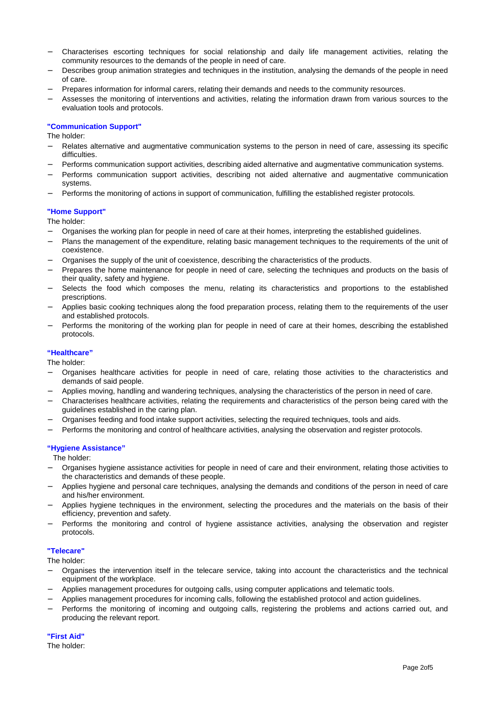- − Characterises escorting techniques for social relationship and daily life management activities, relating the community resources to the demands of the people in need of care.
- Describes group animation strategies and techniques in the institution, analysing the demands of the people in need of care.
- − Prepares information for informal carers, relating their demands and needs to the community resources.
- − Assesses the monitoring of interventions and activities, relating the information drawn from various sources to the evaluation tools and protocols.

## **"Communication Support"**

The holder:

- Relates alternative and augmentative communication systems to the person in need of care, assessing its specific difficulties.
- − Performs communication support activities, describing aided alternative and augmentative communication systems.
- − Performs communication support activities, describing not aided alternative and augmentative communication systems.
- Performs the monitoring of actions in support of communication, fulfilling the established register protocols.

## **"Home Support"**

The holder:

- − Organises the working plan for people in need of care at their homes, interpreting the established guidelines.
- Plans the management of the expenditure, relating basic management techniques to the requirements of the unit of coexistence.
- − Organises the supply of the unit of coexistence, describing the characteristics of the products.
- Prepares the home maintenance for people in need of care, selecting the techniques and products on the basis of their quality, safety and hygiene.
- Selects the food which composes the menu, relating its characteristics and proportions to the established prescriptions.
- − Applies basic cooking techniques along the food preparation process, relating them to the requirements of the user and established protocols.
- Performs the monitoring of the working plan for people in need of care at their homes, describing the established protocols.

## **"Healthcare"**

The holder:

- − Organises healthcare activities for people in need of care, relating those activities to the characteristics and demands of said people.
- − Applies moving, handling and wandering techniques, analysing the characteristics of the person in need of care.
- − Characterises healthcare activities, relating the requirements and characteristics of the person being cared with the guidelines established in the caring plan.
- − Organises feeding and food intake support activities, selecting the required techniques, tools and aids.
- Performs the monitoring and control of healthcare activities, analysing the observation and register protocols.

## **"Hygiene Assistance"**

The holder:

- − Organises hygiene assistance activities for people in need of care and their environment, relating those activities to the characteristics and demands of these people.
- − Applies hygiene and personal care techniques, analysing the demands and conditions of the person in need of care and his/her environment.
- − Applies hygiene techniques in the environment, selecting the procedures and the materials on the basis of their efficiency, prevention and safety.
- − Performs the monitoring and control of hygiene assistance activities, analysing the observation and register protocols.

## **"Telecare"**

The holder:

- − Organises the intervention itself in the telecare service, taking into account the characteristics and the technical equipment of the workplace.
- − Applies management procedures for outgoing calls, using computer applications and telematic tools.
- − Applies management procedures for incoming calls, following the established protocol and action guidelines.
- − Performs the monitoring of incoming and outgoing calls, registering the problems and actions carried out, and producing the relevant report.

## **"First Aid"**

The holder: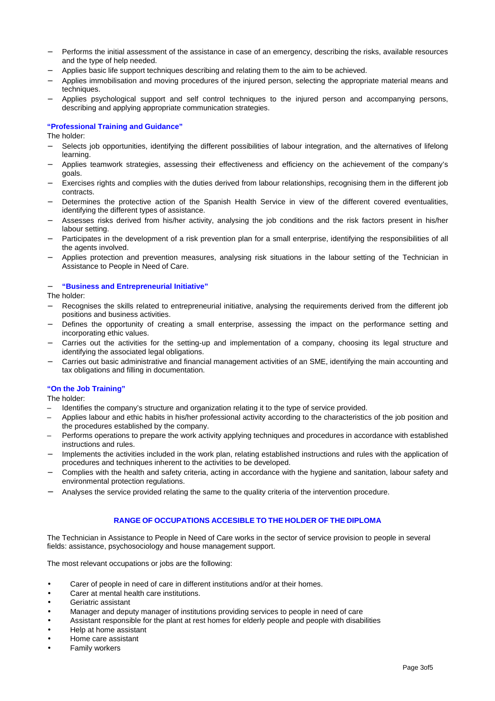- Performs the initial assessment of the assistance in case of an emergency, describing the risks, available resources and the type of help needed.
- − Applies basic life support techniques describing and relating them to the aim to be achieved.
- − Applies immobilisation and moving procedures of the injured person, selecting the appropriate material means and techniques.
- − Applies psychological support and self control techniques to the injured person and accompanying persons, describing and applying appropriate communication strategies.

## **"Professional Training and Guidance"**

The holder:

- Selects job opportunities, identifying the different possibilities of labour integration, and the alternatives of lifelong learning.
- − Applies teamwork strategies, assessing their effectiveness and efficiency on the achievement of the company's goals.
- Exercises rights and complies with the duties derived from labour relationships, recognising them in the different job contracts.
- Determines the protective action of the Spanish Health Service in view of the different covered eventualities, identifying the different types of assistance.
- − Assesses risks derived from his/her activity, analysing the job conditions and the risk factors present in his/her labour setting.
- − Participates in the development of a risk prevention plan for a small enterprise, identifying the responsibilities of all the agents involved.
- − Applies protection and prevention measures, analysing risk situations in the labour setting of the Technician in Assistance to People in Need of Care.

## − **"Business and Entrepreneurial Initiative"**

The holder:

- Recognises the skills related to entrepreneurial initiative, analysing the requirements derived from the different job positions and business activities.
- Defines the opportunity of creating a small enterprise, assessing the impact on the performance setting and incorporating ethic values.
- − Carries out the activities for the setting-up and implementation of a company, choosing its legal structure and identifying the associated legal obligations.
- Carries out basic administrative and financial management activities of an SME, identifying the main accounting and tax obligations and filling in documentation.

## **"On the Job Training"**

The holder:

- Identifies the company's structure and organization relating it to the type of service provided.
- Applies labour and ethic habits in his/her professional activity according to the characteristics of the job position and the procedures established by the company.
- Performs operations to prepare the work activity applying techniques and procedures in accordance with established instructions and rules.
- Implements the activities included in the work plan, relating established instructions and rules with the application of procedures and techniques inherent to the activities to be developed.
- − Complies with the health and safety criteria, acting in accordance with the hygiene and sanitation, labour safety and environmental protection regulations.
- − Analyses the service provided relating the same to the quality criteria of the intervention procedure.

## **RANGE OF OCCUPATIONS ACCESIBLE TO THE HOLDER OF THE DIPLOMA**

The Technician in Assistance to People in Need of Care works in the sector of service provision to people in several fields: assistance, psychosociology and house management support.

The most relevant occupations or jobs are the following:

- Carer of people in need of care in different institutions and/or at their homes.
- Carer at mental health care institutions.
- Geriatric assistant
- Manager and deputy manager of institutions providing services to people in need of care
- Assistant responsible for the plant at rest homes for elderly people and people with disabilities
- Help at home assistant
- Home care assistant
- Family workers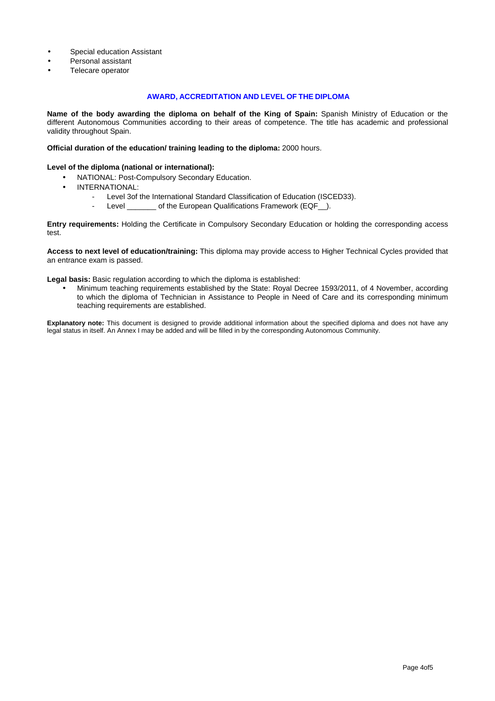- Special education Assistant
- Personal assistant
- Telecare operator

## **AWARD, ACCREDITATION AND LEVEL OF THE DIPLOMA**

**Name of the body awarding the diploma on behalf of the King of Spain:** Spanish Ministry of Education or the different Autonomous Communities according to their areas of competence. The title has academic and professional validity throughout Spain.

**Official duration of the education/ training leading to the diploma:** 2000 hours.

#### **Level of the diploma (national or international):**

- NATIONAL: Post-Compulsory Secondary Education.
- INTERNATIONAL:
	- Level 3of the International Standard Classification of Education (ISCED33).
	- Level of the European Qualifications Framework (EQF ).

**Entry requirements:** Holding the Certificate in Compulsory Secondary Education or holding the corresponding access test.

**Access to next level of education/training:** This diploma may provide access to Higher Technical Cycles provided that an entrance exam is passed.

**Legal basis:** Basic regulation according to which the diploma is established:

• Minimum teaching requirements established by the State: Royal Decree 1593/2011, of 4 November, according to which the diploma of Technician in Assistance to People in Need of Care and its corresponding minimum teaching requirements are established.

**Explanatory note:** This document is designed to provide additional information about the specified diploma and does not have any legal status in itself. An Annex I may be added and will be filled in by the corresponding Autonomous Community.